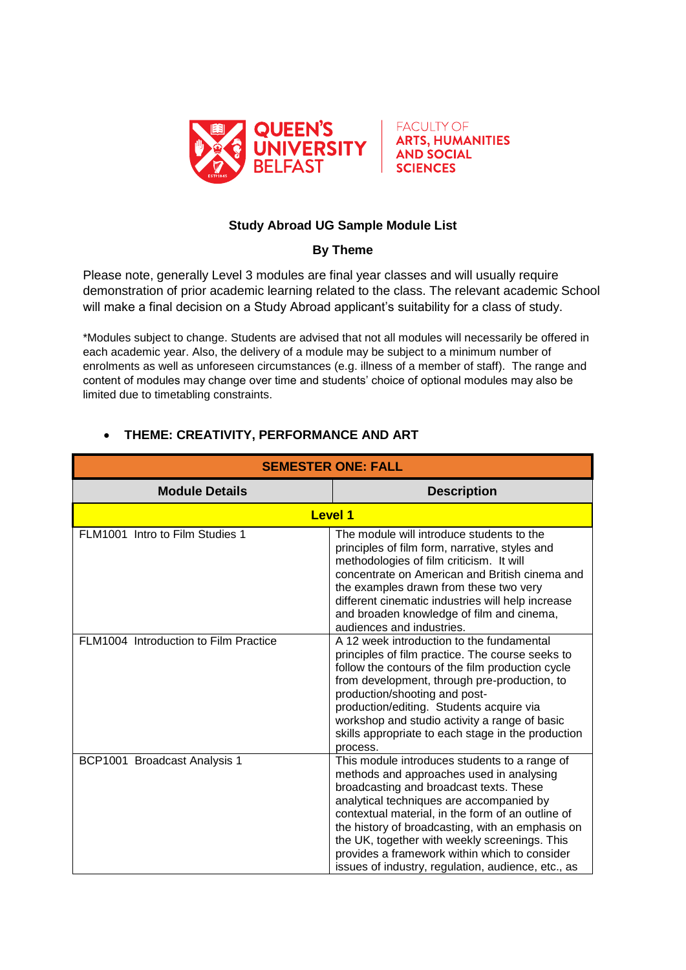



## **Study Abroad UG Sample Module List**

## **By Theme**

Please note, generally Level 3 modules are final year classes and will usually require demonstration of prior academic learning related to the class. The relevant academic School will make a final decision on a Study Abroad applicant's suitability for a class of study.

\*Modules subject to change. Students are advised that not all modules will necessarily be offered in each academic year. Also, the delivery of a module may be subject to a minimum number of enrolments as well as unforeseen circumstances (e.g. illness of a member of staff). The range and content of modules may change over time and students' choice of optional modules may also be limited due to timetabling constraints.

| <b>SEMESTER ONE: FALL</b>             |                                                                                                                                                                                                                                                                                                                                                                                                                                                   |
|---------------------------------------|---------------------------------------------------------------------------------------------------------------------------------------------------------------------------------------------------------------------------------------------------------------------------------------------------------------------------------------------------------------------------------------------------------------------------------------------------|
| <b>Module Details</b>                 | <b>Description</b>                                                                                                                                                                                                                                                                                                                                                                                                                                |
| <b>Level 1</b>                        |                                                                                                                                                                                                                                                                                                                                                                                                                                                   |
| FLM1001 Intro to Film Studies 1       | The module will introduce students to the<br>principles of film form, narrative, styles and<br>methodologies of film criticism. It will<br>concentrate on American and British cinema and<br>the examples drawn from these two very<br>different cinematic industries will help increase<br>and broaden knowledge of film and cinema,<br>audiences and industries.                                                                                |
| FLM1004 Introduction to Film Practice | A 12 week introduction to the fundamental<br>principles of film practice. The course seeks to<br>follow the contours of the film production cycle<br>from development, through pre-production, to<br>production/shooting and post-<br>production/editing. Students acquire via<br>workshop and studio activity a range of basic<br>skills appropriate to each stage in the production<br>process.                                                 |
| BCP1001 Broadcast Analysis 1          | This module introduces students to a range of<br>methods and approaches used in analysing<br>broadcasting and broadcast texts. These<br>analytical techniques are accompanied by<br>contextual material, in the form of an outline of<br>the history of broadcasting, with an emphasis on<br>the UK, together with weekly screenings. This<br>provides a framework within which to consider<br>issues of industry, regulation, audience, etc., as |

## **THEME: CREATIVITY, PERFORMANCE AND ART**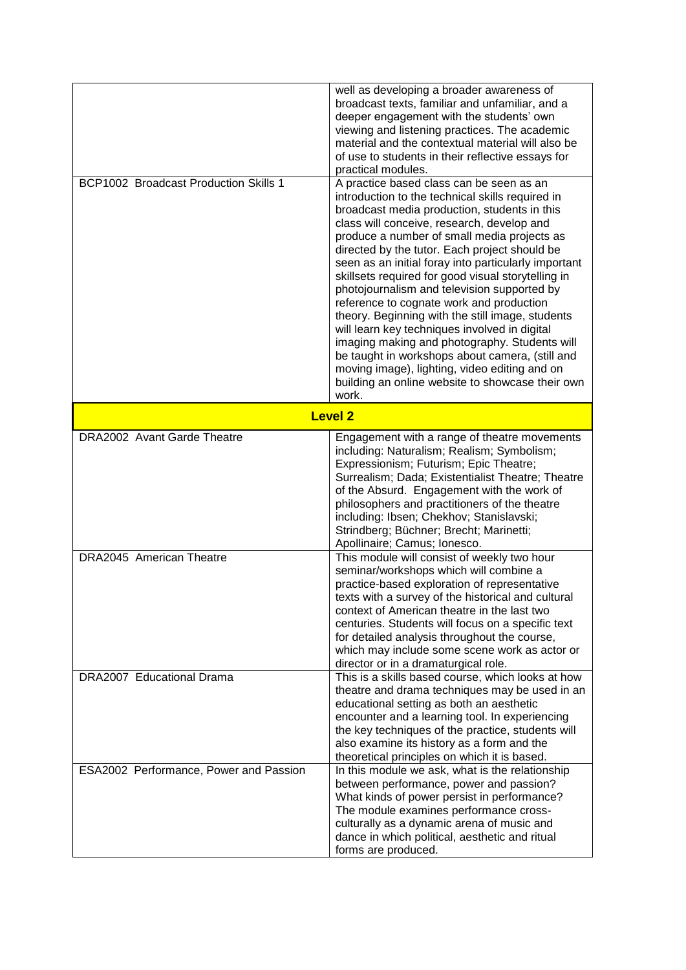|                                        | well as developing a broader awareness of<br>broadcast texts, familiar and unfamiliar, and a<br>deeper engagement with the students' own<br>viewing and listening practices. The academic<br>material and the contextual material will also be<br>of use to students in their reflective essays for<br>practical modules.                                                                                                                                                                                                                                                                                                                                                                                                                                                                                                  |
|----------------------------------------|----------------------------------------------------------------------------------------------------------------------------------------------------------------------------------------------------------------------------------------------------------------------------------------------------------------------------------------------------------------------------------------------------------------------------------------------------------------------------------------------------------------------------------------------------------------------------------------------------------------------------------------------------------------------------------------------------------------------------------------------------------------------------------------------------------------------------|
| BCP1002 Broadcast Production Skills 1  | A practice based class can be seen as an<br>introduction to the technical skills required in<br>broadcast media production, students in this<br>class will conceive, research, develop and<br>produce a number of small media projects as<br>directed by the tutor. Each project should be<br>seen as an initial foray into particularly important<br>skillsets required for good visual storytelling in<br>photojournalism and television supported by<br>reference to cognate work and production<br>theory. Beginning with the still image, students<br>will learn key techniques involved in digital<br>imaging making and photography. Students will<br>be taught in workshops about camera, (still and<br>moving image), lighting, video editing and on<br>building an online website to showcase their own<br>work. |
| <b>Level 2</b>                         |                                                                                                                                                                                                                                                                                                                                                                                                                                                                                                                                                                                                                                                                                                                                                                                                                            |
| DRA2002 Avant Garde Theatre            | Engagement with a range of theatre movements<br>including: Naturalism; Realism; Symbolism;<br>Expressionism; Futurism; Epic Theatre;<br>Surrealism; Dada; Existentialist Theatre; Theatre<br>of the Absurd. Engagement with the work of<br>philosophers and practitioners of the theatre<br>including: Ibsen; Chekhov; Stanislavski;<br>Strindberg; Büchner; Brecht; Marinetti;<br>Apollinaire; Camus; Ionesco.                                                                                                                                                                                                                                                                                                                                                                                                            |
| DRA2045 American Theatre               | This module will consist of weekly two hour<br>seminar/workshops which will combine a<br>practice-based exploration of representative<br>texts with a survey of the historical and cultural<br>context of American theatre in the last two<br>centuries. Students will focus on a specific text<br>for detailed analysis throughout the course,<br>which may include some scene work as actor or<br>director or in a dramaturgical role.                                                                                                                                                                                                                                                                                                                                                                                   |
| DRA2007 Educational Drama              | This is a skills based course, which looks at how<br>theatre and drama techniques may be used in an<br>educational setting as both an aesthetic<br>encounter and a learning tool. In experiencing<br>the key techniques of the practice, students will<br>also examine its history as a form and the<br>theoretical principles on which it is based.                                                                                                                                                                                                                                                                                                                                                                                                                                                                       |
| ESA2002 Performance, Power and Passion | In this module we ask, what is the relationship<br>between performance, power and passion?<br>What kinds of power persist in performance?<br>The module examines performance cross-<br>culturally as a dynamic arena of music and<br>dance in which political, aesthetic and ritual<br>forms are produced.                                                                                                                                                                                                                                                                                                                                                                                                                                                                                                                 |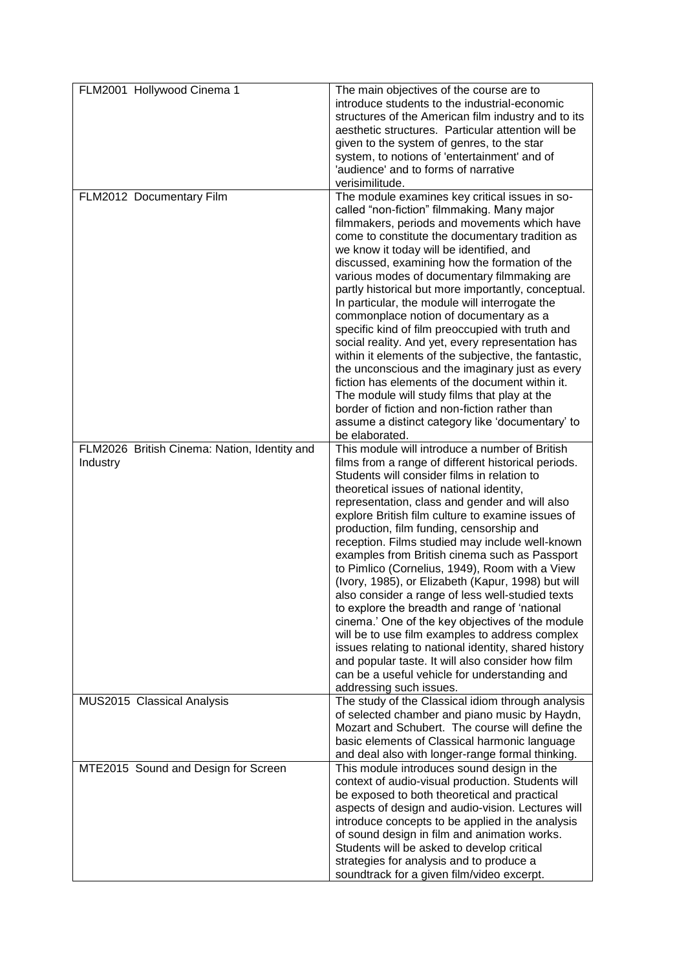| FLM2001 Hollywood Cinema 1                   | The main objectives of the course are to             |
|----------------------------------------------|------------------------------------------------------|
|                                              | introduce students to the industrial-economic        |
|                                              | structures of the American film industry and to its  |
|                                              | aesthetic structures. Particular attention will be   |
|                                              |                                                      |
|                                              | given to the system of genres, to the star           |
|                                              | system, to notions of 'entertainment' and of         |
|                                              | 'audience' and to forms of narrative                 |
|                                              | verisimilitude.                                      |
|                                              |                                                      |
| FLM2012 Documentary Film                     | The module examines key critical issues in so-       |
|                                              | called "non-fiction" filmmaking. Many major          |
|                                              | filmmakers, periods and movements which have         |
|                                              | come to constitute the documentary tradition as      |
|                                              |                                                      |
|                                              | we know it today will be identified, and             |
|                                              | discussed, examining how the formation of the        |
|                                              | various modes of documentary filmmaking are          |
|                                              | partly historical but more importantly, conceptual.  |
|                                              |                                                      |
|                                              | In particular, the module will interrogate the       |
|                                              | commonplace notion of documentary as a               |
|                                              | specific kind of film preoccupied with truth and     |
|                                              | social reality. And yet, every representation has    |
|                                              |                                                      |
|                                              | within it elements of the subjective, the fantastic, |
|                                              | the unconscious and the imaginary just as every      |
|                                              | fiction has elements of the document within it.      |
|                                              | The module will study films that play at the         |
|                                              | border of fiction and non-fiction rather than        |
|                                              |                                                      |
|                                              | assume a distinct category like 'documentary' to     |
|                                              | be elaborated.                                       |
| FLM2026 British Cinema: Nation, Identity and | This module will introduce a number of British       |
| Industry                                     | films from a range of different historical periods.  |
|                                              | Students will consider films in relation to          |
|                                              |                                                      |
|                                              | theoretical issues of national identity,             |
|                                              | representation, class and gender and will also       |
|                                              | explore British film culture to examine issues of    |
|                                              | production, film funding, censorship and             |
|                                              |                                                      |
|                                              | reception. Films studied may include well-known      |
|                                              | examples from British cinema such as Passport        |
|                                              | to Pimlico (Cornelius, 1949), Room with a View       |
|                                              | (Ivory, 1985), or Elizabeth (Kapur, 1998) but will   |
|                                              | also consider a range of less well-studied texts     |
|                                              |                                                      |
|                                              | to explore the breadth and range of 'national        |
|                                              | cinema.' One of the key objectives of the module     |
|                                              | will be to use film examples to address complex      |
|                                              | issues relating to national identity, shared history |
|                                              |                                                      |
|                                              | and popular taste. It will also consider how film    |
|                                              | can be a useful vehicle for understanding and        |
|                                              | addressing such issues.                              |
| MUS2015 Classical Analysis                   | The study of the Classical idiom through analysis    |
|                                              | of selected chamber and piano music by Haydn,        |
|                                              | Mozart and Schubert. The course will define the      |
|                                              |                                                      |
|                                              | basic elements of Classical harmonic language        |
|                                              | and deal also with longer-range formal thinking.     |
| MTE2015 Sound and Design for Screen          | This module introduces sound design in the           |
|                                              | context of audio-visual production. Students will    |
|                                              |                                                      |
|                                              | be exposed to both theoretical and practical         |
|                                              | aspects of design and audio-vision. Lectures will    |
|                                              | introduce concepts to be applied in the analysis     |
|                                              | of sound design in film and animation works.         |
|                                              |                                                      |
|                                              | Students will be asked to develop critical           |
|                                              | strategies for analysis and to produce a             |
|                                              | soundtrack for a given film/video excerpt.           |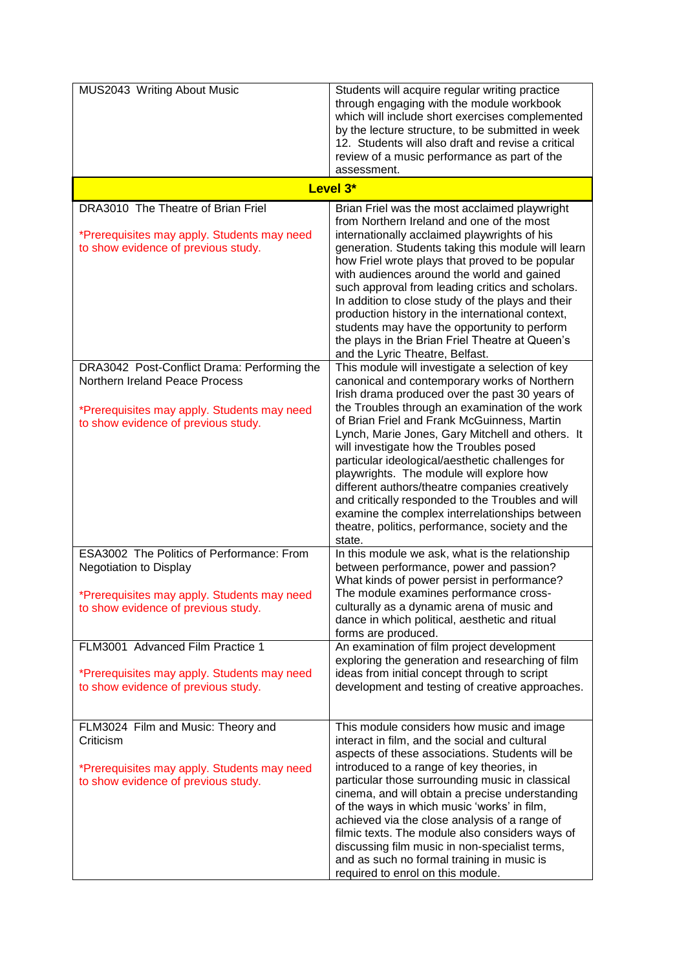| MUS2043 Writing About Music                                                                                                                                         | Students will acquire regular writing practice<br>through engaging with the module workbook<br>which will include short exercises complemented<br>by the lecture structure, to be submitted in week<br>12. Students will also draft and revise a critical<br>review of a music performance as part of the<br>assessment.                                                                                                                                                                                                                                                                                                                                                |
|---------------------------------------------------------------------------------------------------------------------------------------------------------------------|-------------------------------------------------------------------------------------------------------------------------------------------------------------------------------------------------------------------------------------------------------------------------------------------------------------------------------------------------------------------------------------------------------------------------------------------------------------------------------------------------------------------------------------------------------------------------------------------------------------------------------------------------------------------------|
|                                                                                                                                                                     | Level 3*                                                                                                                                                                                                                                                                                                                                                                                                                                                                                                                                                                                                                                                                |
| DRA3010 The Theatre of Brian Friel<br>*Prerequisites may apply. Students may need<br>to show evidence of previous study.                                            | Brian Friel was the most acclaimed playwright<br>from Northern Ireland and one of the most<br>internationally acclaimed playwrights of his<br>generation. Students taking this module will learn<br>how Friel wrote plays that proved to be popular<br>with audiences around the world and gained<br>such approval from leading critics and scholars.<br>In addition to close study of the plays and their<br>production history in the international context,<br>students may have the opportunity to perform<br>the plays in the Brian Friel Theatre at Queen's<br>and the Lyric Theatre, Belfast.                                                                    |
| DRA3042 Post-Conflict Drama: Performing the<br>Northern Ireland Peace Process<br>*Prerequisites may apply. Students may need<br>to show evidence of previous study. | This module will investigate a selection of key<br>canonical and contemporary works of Northern<br>Irish drama produced over the past 30 years of<br>the Troubles through an examination of the work<br>of Brian Friel and Frank McGuinness, Martin<br>Lynch, Marie Jones, Gary Mitchell and others. It<br>will investigate how the Troubles posed<br>particular ideological/aesthetic challenges for<br>playwrights. The module will explore how<br>different authors/theatre companies creatively<br>and critically responded to the Troubles and will<br>examine the complex interrelationships between<br>theatre, politics, performance, society and the<br>state. |
| ESA3002 The Politics of Performance: From<br><b>Negotiation to Display</b><br>*Prerequisites may apply. Students may need<br>to show evidence of previous study.    | In this module we ask, what is the relationship<br>between performance, power and passion?<br>What kinds of power persist in performance?<br>The module examines performance cross-<br>culturally as a dynamic arena of music and<br>dance in which political, aesthetic and ritual<br>forms are produced.                                                                                                                                                                                                                                                                                                                                                              |
| FLM3001 Advanced Film Practice 1<br>*Prerequisites may apply. Students may need<br>to show evidence of previous study.                                              | An examination of film project development<br>exploring the generation and researching of film<br>ideas from initial concept through to script<br>development and testing of creative approaches.                                                                                                                                                                                                                                                                                                                                                                                                                                                                       |
| FLM3024 Film and Music: Theory and<br>Criticism<br>*Prerequisites may apply. Students may need<br>to show evidence of previous study.                               | This module considers how music and image<br>interact in film, and the social and cultural<br>aspects of these associations. Students will be<br>introduced to a range of key theories, in<br>particular those surrounding music in classical<br>cinema, and will obtain a precise understanding<br>of the ways in which music 'works' in film,<br>achieved via the close analysis of a range of<br>filmic texts. The module also considers ways of<br>discussing film music in non-specialist terms,<br>and as such no formal training in music is<br>required to enrol on this module.                                                                                |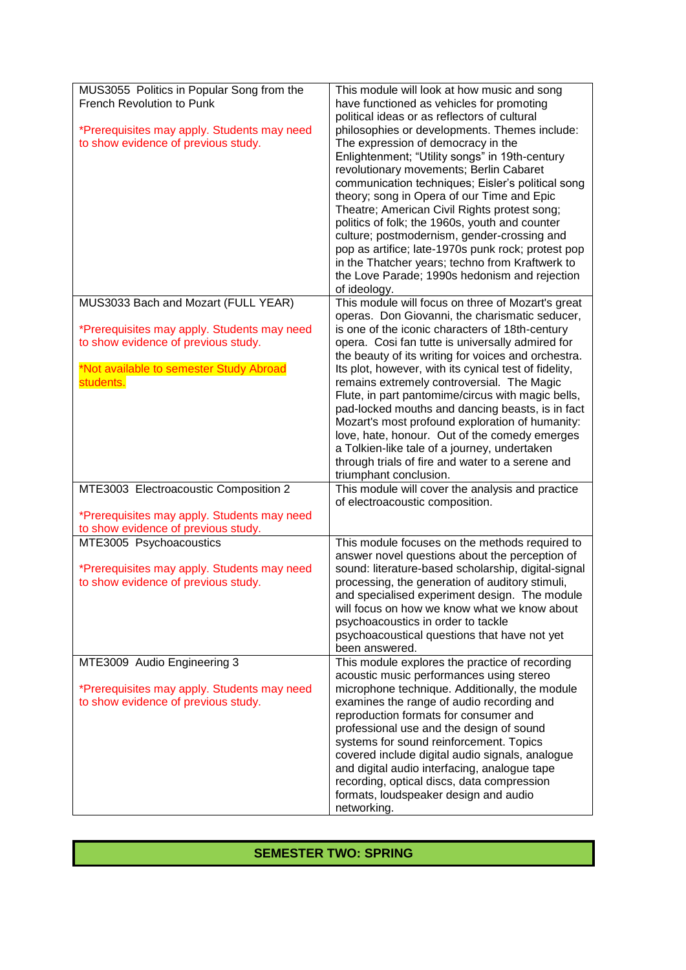| MUS3055 Politics in Popular Song from the<br>This module will look at how music and song<br>French Revolution to Punk<br>have functioned as vehicles for promoting<br>political ideas or as reflectors of cultural<br>*Prerequisites may apply. Students may need<br>philosophies or developments. Themes include:<br>to show evidence of previous study.<br>The expression of democracy in the<br>Enlightenment; "Utility songs" in 19th-century<br>revolutionary movements; Berlin Cabaret<br>communication techniques; Eisler's political song<br>theory; song in Opera of our Time and Epic<br>Theatre; American Civil Rights protest song;<br>politics of folk; the 1960s, youth and counter<br>culture; postmodernism, gender-crossing and<br>pop as artifice; late-1970s punk rock; protest pop<br>in the Thatcher years; techno from Kraftwerk to<br>the Love Parade; 1990s hedonism and rejection<br>of ideology.<br>MUS3033 Bach and Mozart (FULL YEAR)<br>This module will focus on three of Mozart's great<br>operas. Don Giovanni, the charismatic seducer,<br>*Prerequisites may apply. Students may need<br>is one of the iconic characters of 18th-century<br>to show evidence of previous study.<br>opera. Cosi fan tutte is universally admired for<br>the beauty of its writing for voices and orchestra.<br>*Not available to semester Study Abroad<br>Its plot, however, with its cynical test of fidelity,<br>students.<br>remains extremely controversial. The Magic<br>Flute, in part pantomime/circus with magic bells,<br>pad-locked mouths and dancing beasts, is in fact<br>Mozart's most profound exploration of humanity:<br>love, hate, honour. Out of the comedy emerges<br>a Tolkien-like tale of a journey, undertaken<br>through trials of fire and water to a serene and<br>triumphant conclusion.<br>MTE3003 Electroacoustic Composition 2<br>This module will cover the analysis and practice<br>of electroacoustic composition.<br>*Prerequisites may apply. Students may need<br>to show evidence of previous study.<br>MTE3005 Psychoacoustics<br>This module focuses on the methods required to<br>answer novel questions about the perception of<br>sound: literature-based scholarship, digital-signal<br>*Prerequisites may apply. Students may need<br>to show evidence of previous study.<br>processing, the generation of auditory stimuli,<br>and specialised experiment design. The module |
|----------------------------------------------------------------------------------------------------------------------------------------------------------------------------------------------------------------------------------------------------------------------------------------------------------------------------------------------------------------------------------------------------------------------------------------------------------------------------------------------------------------------------------------------------------------------------------------------------------------------------------------------------------------------------------------------------------------------------------------------------------------------------------------------------------------------------------------------------------------------------------------------------------------------------------------------------------------------------------------------------------------------------------------------------------------------------------------------------------------------------------------------------------------------------------------------------------------------------------------------------------------------------------------------------------------------------------------------------------------------------------------------------------------------------------------------------------------------------------------------------------------------------------------------------------------------------------------------------------------------------------------------------------------------------------------------------------------------------------------------------------------------------------------------------------------------------------------------------------------------------------------------------------------------------------------------------------------------------------------------------------------------------------------------------------------------------------------------------------------------------------------------------------------------------------------------------------------------------------------------------------------------------------------------------------------------------------------------------------------------------------------------------------------------------------------------|
|                                                                                                                                                                                                                                                                                                                                                                                                                                                                                                                                                                                                                                                                                                                                                                                                                                                                                                                                                                                                                                                                                                                                                                                                                                                                                                                                                                                                                                                                                                                                                                                                                                                                                                                                                                                                                                                                                                                                                                                                                                                                                                                                                                                                                                                                                                                                                                                                                                              |
|                                                                                                                                                                                                                                                                                                                                                                                                                                                                                                                                                                                                                                                                                                                                                                                                                                                                                                                                                                                                                                                                                                                                                                                                                                                                                                                                                                                                                                                                                                                                                                                                                                                                                                                                                                                                                                                                                                                                                                                                                                                                                                                                                                                                                                                                                                                                                                                                                                              |
|                                                                                                                                                                                                                                                                                                                                                                                                                                                                                                                                                                                                                                                                                                                                                                                                                                                                                                                                                                                                                                                                                                                                                                                                                                                                                                                                                                                                                                                                                                                                                                                                                                                                                                                                                                                                                                                                                                                                                                                                                                                                                                                                                                                                                                                                                                                                                                                                                                              |
|                                                                                                                                                                                                                                                                                                                                                                                                                                                                                                                                                                                                                                                                                                                                                                                                                                                                                                                                                                                                                                                                                                                                                                                                                                                                                                                                                                                                                                                                                                                                                                                                                                                                                                                                                                                                                                                                                                                                                                                                                                                                                                                                                                                                                                                                                                                                                                                                                                              |
|                                                                                                                                                                                                                                                                                                                                                                                                                                                                                                                                                                                                                                                                                                                                                                                                                                                                                                                                                                                                                                                                                                                                                                                                                                                                                                                                                                                                                                                                                                                                                                                                                                                                                                                                                                                                                                                                                                                                                                                                                                                                                                                                                                                                                                                                                                                                                                                                                                              |
|                                                                                                                                                                                                                                                                                                                                                                                                                                                                                                                                                                                                                                                                                                                                                                                                                                                                                                                                                                                                                                                                                                                                                                                                                                                                                                                                                                                                                                                                                                                                                                                                                                                                                                                                                                                                                                                                                                                                                                                                                                                                                                                                                                                                                                                                                                                                                                                                                                              |
|                                                                                                                                                                                                                                                                                                                                                                                                                                                                                                                                                                                                                                                                                                                                                                                                                                                                                                                                                                                                                                                                                                                                                                                                                                                                                                                                                                                                                                                                                                                                                                                                                                                                                                                                                                                                                                                                                                                                                                                                                                                                                                                                                                                                                                                                                                                                                                                                                                              |
|                                                                                                                                                                                                                                                                                                                                                                                                                                                                                                                                                                                                                                                                                                                                                                                                                                                                                                                                                                                                                                                                                                                                                                                                                                                                                                                                                                                                                                                                                                                                                                                                                                                                                                                                                                                                                                                                                                                                                                                                                                                                                                                                                                                                                                                                                                                                                                                                                                              |
|                                                                                                                                                                                                                                                                                                                                                                                                                                                                                                                                                                                                                                                                                                                                                                                                                                                                                                                                                                                                                                                                                                                                                                                                                                                                                                                                                                                                                                                                                                                                                                                                                                                                                                                                                                                                                                                                                                                                                                                                                                                                                                                                                                                                                                                                                                                                                                                                                                              |
|                                                                                                                                                                                                                                                                                                                                                                                                                                                                                                                                                                                                                                                                                                                                                                                                                                                                                                                                                                                                                                                                                                                                                                                                                                                                                                                                                                                                                                                                                                                                                                                                                                                                                                                                                                                                                                                                                                                                                                                                                                                                                                                                                                                                                                                                                                                                                                                                                                              |
|                                                                                                                                                                                                                                                                                                                                                                                                                                                                                                                                                                                                                                                                                                                                                                                                                                                                                                                                                                                                                                                                                                                                                                                                                                                                                                                                                                                                                                                                                                                                                                                                                                                                                                                                                                                                                                                                                                                                                                                                                                                                                                                                                                                                                                                                                                                                                                                                                                              |
|                                                                                                                                                                                                                                                                                                                                                                                                                                                                                                                                                                                                                                                                                                                                                                                                                                                                                                                                                                                                                                                                                                                                                                                                                                                                                                                                                                                                                                                                                                                                                                                                                                                                                                                                                                                                                                                                                                                                                                                                                                                                                                                                                                                                                                                                                                                                                                                                                                              |
|                                                                                                                                                                                                                                                                                                                                                                                                                                                                                                                                                                                                                                                                                                                                                                                                                                                                                                                                                                                                                                                                                                                                                                                                                                                                                                                                                                                                                                                                                                                                                                                                                                                                                                                                                                                                                                                                                                                                                                                                                                                                                                                                                                                                                                                                                                                                                                                                                                              |
|                                                                                                                                                                                                                                                                                                                                                                                                                                                                                                                                                                                                                                                                                                                                                                                                                                                                                                                                                                                                                                                                                                                                                                                                                                                                                                                                                                                                                                                                                                                                                                                                                                                                                                                                                                                                                                                                                                                                                                                                                                                                                                                                                                                                                                                                                                                                                                                                                                              |
|                                                                                                                                                                                                                                                                                                                                                                                                                                                                                                                                                                                                                                                                                                                                                                                                                                                                                                                                                                                                                                                                                                                                                                                                                                                                                                                                                                                                                                                                                                                                                                                                                                                                                                                                                                                                                                                                                                                                                                                                                                                                                                                                                                                                                                                                                                                                                                                                                                              |
|                                                                                                                                                                                                                                                                                                                                                                                                                                                                                                                                                                                                                                                                                                                                                                                                                                                                                                                                                                                                                                                                                                                                                                                                                                                                                                                                                                                                                                                                                                                                                                                                                                                                                                                                                                                                                                                                                                                                                                                                                                                                                                                                                                                                                                                                                                                                                                                                                                              |
|                                                                                                                                                                                                                                                                                                                                                                                                                                                                                                                                                                                                                                                                                                                                                                                                                                                                                                                                                                                                                                                                                                                                                                                                                                                                                                                                                                                                                                                                                                                                                                                                                                                                                                                                                                                                                                                                                                                                                                                                                                                                                                                                                                                                                                                                                                                                                                                                                                              |
|                                                                                                                                                                                                                                                                                                                                                                                                                                                                                                                                                                                                                                                                                                                                                                                                                                                                                                                                                                                                                                                                                                                                                                                                                                                                                                                                                                                                                                                                                                                                                                                                                                                                                                                                                                                                                                                                                                                                                                                                                                                                                                                                                                                                                                                                                                                                                                                                                                              |
|                                                                                                                                                                                                                                                                                                                                                                                                                                                                                                                                                                                                                                                                                                                                                                                                                                                                                                                                                                                                                                                                                                                                                                                                                                                                                                                                                                                                                                                                                                                                                                                                                                                                                                                                                                                                                                                                                                                                                                                                                                                                                                                                                                                                                                                                                                                                                                                                                                              |
|                                                                                                                                                                                                                                                                                                                                                                                                                                                                                                                                                                                                                                                                                                                                                                                                                                                                                                                                                                                                                                                                                                                                                                                                                                                                                                                                                                                                                                                                                                                                                                                                                                                                                                                                                                                                                                                                                                                                                                                                                                                                                                                                                                                                                                                                                                                                                                                                                                              |
|                                                                                                                                                                                                                                                                                                                                                                                                                                                                                                                                                                                                                                                                                                                                                                                                                                                                                                                                                                                                                                                                                                                                                                                                                                                                                                                                                                                                                                                                                                                                                                                                                                                                                                                                                                                                                                                                                                                                                                                                                                                                                                                                                                                                                                                                                                                                                                                                                                              |
|                                                                                                                                                                                                                                                                                                                                                                                                                                                                                                                                                                                                                                                                                                                                                                                                                                                                                                                                                                                                                                                                                                                                                                                                                                                                                                                                                                                                                                                                                                                                                                                                                                                                                                                                                                                                                                                                                                                                                                                                                                                                                                                                                                                                                                                                                                                                                                                                                                              |
|                                                                                                                                                                                                                                                                                                                                                                                                                                                                                                                                                                                                                                                                                                                                                                                                                                                                                                                                                                                                                                                                                                                                                                                                                                                                                                                                                                                                                                                                                                                                                                                                                                                                                                                                                                                                                                                                                                                                                                                                                                                                                                                                                                                                                                                                                                                                                                                                                                              |
|                                                                                                                                                                                                                                                                                                                                                                                                                                                                                                                                                                                                                                                                                                                                                                                                                                                                                                                                                                                                                                                                                                                                                                                                                                                                                                                                                                                                                                                                                                                                                                                                                                                                                                                                                                                                                                                                                                                                                                                                                                                                                                                                                                                                                                                                                                                                                                                                                                              |
|                                                                                                                                                                                                                                                                                                                                                                                                                                                                                                                                                                                                                                                                                                                                                                                                                                                                                                                                                                                                                                                                                                                                                                                                                                                                                                                                                                                                                                                                                                                                                                                                                                                                                                                                                                                                                                                                                                                                                                                                                                                                                                                                                                                                                                                                                                                                                                                                                                              |
|                                                                                                                                                                                                                                                                                                                                                                                                                                                                                                                                                                                                                                                                                                                                                                                                                                                                                                                                                                                                                                                                                                                                                                                                                                                                                                                                                                                                                                                                                                                                                                                                                                                                                                                                                                                                                                                                                                                                                                                                                                                                                                                                                                                                                                                                                                                                                                                                                                              |
|                                                                                                                                                                                                                                                                                                                                                                                                                                                                                                                                                                                                                                                                                                                                                                                                                                                                                                                                                                                                                                                                                                                                                                                                                                                                                                                                                                                                                                                                                                                                                                                                                                                                                                                                                                                                                                                                                                                                                                                                                                                                                                                                                                                                                                                                                                                                                                                                                                              |
|                                                                                                                                                                                                                                                                                                                                                                                                                                                                                                                                                                                                                                                                                                                                                                                                                                                                                                                                                                                                                                                                                                                                                                                                                                                                                                                                                                                                                                                                                                                                                                                                                                                                                                                                                                                                                                                                                                                                                                                                                                                                                                                                                                                                                                                                                                                                                                                                                                              |
|                                                                                                                                                                                                                                                                                                                                                                                                                                                                                                                                                                                                                                                                                                                                                                                                                                                                                                                                                                                                                                                                                                                                                                                                                                                                                                                                                                                                                                                                                                                                                                                                                                                                                                                                                                                                                                                                                                                                                                                                                                                                                                                                                                                                                                                                                                                                                                                                                                              |
|                                                                                                                                                                                                                                                                                                                                                                                                                                                                                                                                                                                                                                                                                                                                                                                                                                                                                                                                                                                                                                                                                                                                                                                                                                                                                                                                                                                                                                                                                                                                                                                                                                                                                                                                                                                                                                                                                                                                                                                                                                                                                                                                                                                                                                                                                                                                                                                                                                              |
|                                                                                                                                                                                                                                                                                                                                                                                                                                                                                                                                                                                                                                                                                                                                                                                                                                                                                                                                                                                                                                                                                                                                                                                                                                                                                                                                                                                                                                                                                                                                                                                                                                                                                                                                                                                                                                                                                                                                                                                                                                                                                                                                                                                                                                                                                                                                                                                                                                              |
|                                                                                                                                                                                                                                                                                                                                                                                                                                                                                                                                                                                                                                                                                                                                                                                                                                                                                                                                                                                                                                                                                                                                                                                                                                                                                                                                                                                                                                                                                                                                                                                                                                                                                                                                                                                                                                                                                                                                                                                                                                                                                                                                                                                                                                                                                                                                                                                                                                              |
|                                                                                                                                                                                                                                                                                                                                                                                                                                                                                                                                                                                                                                                                                                                                                                                                                                                                                                                                                                                                                                                                                                                                                                                                                                                                                                                                                                                                                                                                                                                                                                                                                                                                                                                                                                                                                                                                                                                                                                                                                                                                                                                                                                                                                                                                                                                                                                                                                                              |
|                                                                                                                                                                                                                                                                                                                                                                                                                                                                                                                                                                                                                                                                                                                                                                                                                                                                                                                                                                                                                                                                                                                                                                                                                                                                                                                                                                                                                                                                                                                                                                                                                                                                                                                                                                                                                                                                                                                                                                                                                                                                                                                                                                                                                                                                                                                                                                                                                                              |
|                                                                                                                                                                                                                                                                                                                                                                                                                                                                                                                                                                                                                                                                                                                                                                                                                                                                                                                                                                                                                                                                                                                                                                                                                                                                                                                                                                                                                                                                                                                                                                                                                                                                                                                                                                                                                                                                                                                                                                                                                                                                                                                                                                                                                                                                                                                                                                                                                                              |
|                                                                                                                                                                                                                                                                                                                                                                                                                                                                                                                                                                                                                                                                                                                                                                                                                                                                                                                                                                                                                                                                                                                                                                                                                                                                                                                                                                                                                                                                                                                                                                                                                                                                                                                                                                                                                                                                                                                                                                                                                                                                                                                                                                                                                                                                                                                                                                                                                                              |
|                                                                                                                                                                                                                                                                                                                                                                                                                                                                                                                                                                                                                                                                                                                                                                                                                                                                                                                                                                                                                                                                                                                                                                                                                                                                                                                                                                                                                                                                                                                                                                                                                                                                                                                                                                                                                                                                                                                                                                                                                                                                                                                                                                                                                                                                                                                                                                                                                                              |
|                                                                                                                                                                                                                                                                                                                                                                                                                                                                                                                                                                                                                                                                                                                                                                                                                                                                                                                                                                                                                                                                                                                                                                                                                                                                                                                                                                                                                                                                                                                                                                                                                                                                                                                                                                                                                                                                                                                                                                                                                                                                                                                                                                                                                                                                                                                                                                                                                                              |
|                                                                                                                                                                                                                                                                                                                                                                                                                                                                                                                                                                                                                                                                                                                                                                                                                                                                                                                                                                                                                                                                                                                                                                                                                                                                                                                                                                                                                                                                                                                                                                                                                                                                                                                                                                                                                                                                                                                                                                                                                                                                                                                                                                                                                                                                                                                                                                                                                                              |
|                                                                                                                                                                                                                                                                                                                                                                                                                                                                                                                                                                                                                                                                                                                                                                                                                                                                                                                                                                                                                                                                                                                                                                                                                                                                                                                                                                                                                                                                                                                                                                                                                                                                                                                                                                                                                                                                                                                                                                                                                                                                                                                                                                                                                                                                                                                                                                                                                                              |
| will focus on how we know what we know about                                                                                                                                                                                                                                                                                                                                                                                                                                                                                                                                                                                                                                                                                                                                                                                                                                                                                                                                                                                                                                                                                                                                                                                                                                                                                                                                                                                                                                                                                                                                                                                                                                                                                                                                                                                                                                                                                                                                                                                                                                                                                                                                                                                                                                                                                                                                                                                                 |
| psychoacoustics in order to tackle                                                                                                                                                                                                                                                                                                                                                                                                                                                                                                                                                                                                                                                                                                                                                                                                                                                                                                                                                                                                                                                                                                                                                                                                                                                                                                                                                                                                                                                                                                                                                                                                                                                                                                                                                                                                                                                                                                                                                                                                                                                                                                                                                                                                                                                                                                                                                                                                           |
| psychoacoustical questions that have not yet                                                                                                                                                                                                                                                                                                                                                                                                                                                                                                                                                                                                                                                                                                                                                                                                                                                                                                                                                                                                                                                                                                                                                                                                                                                                                                                                                                                                                                                                                                                                                                                                                                                                                                                                                                                                                                                                                                                                                                                                                                                                                                                                                                                                                                                                                                                                                                                                 |
| been answered.                                                                                                                                                                                                                                                                                                                                                                                                                                                                                                                                                                                                                                                                                                                                                                                                                                                                                                                                                                                                                                                                                                                                                                                                                                                                                                                                                                                                                                                                                                                                                                                                                                                                                                                                                                                                                                                                                                                                                                                                                                                                                                                                                                                                                                                                                                                                                                                                                               |
| This module explores the practice of recording<br>MTE3009 Audio Engineering 3                                                                                                                                                                                                                                                                                                                                                                                                                                                                                                                                                                                                                                                                                                                                                                                                                                                                                                                                                                                                                                                                                                                                                                                                                                                                                                                                                                                                                                                                                                                                                                                                                                                                                                                                                                                                                                                                                                                                                                                                                                                                                                                                                                                                                                                                                                                                                                |
|                                                                                                                                                                                                                                                                                                                                                                                                                                                                                                                                                                                                                                                                                                                                                                                                                                                                                                                                                                                                                                                                                                                                                                                                                                                                                                                                                                                                                                                                                                                                                                                                                                                                                                                                                                                                                                                                                                                                                                                                                                                                                                                                                                                                                                                                                                                                                                                                                                              |
| acoustic music performances using stereo                                                                                                                                                                                                                                                                                                                                                                                                                                                                                                                                                                                                                                                                                                                                                                                                                                                                                                                                                                                                                                                                                                                                                                                                                                                                                                                                                                                                                                                                                                                                                                                                                                                                                                                                                                                                                                                                                                                                                                                                                                                                                                                                                                                                                                                                                                                                                                                                     |
| *Prerequisites may apply. Students may need<br>microphone technique. Additionally, the module                                                                                                                                                                                                                                                                                                                                                                                                                                                                                                                                                                                                                                                                                                                                                                                                                                                                                                                                                                                                                                                                                                                                                                                                                                                                                                                                                                                                                                                                                                                                                                                                                                                                                                                                                                                                                                                                                                                                                                                                                                                                                                                                                                                                                                                                                                                                                |
| examines the range of audio recording and<br>to show evidence of previous study.                                                                                                                                                                                                                                                                                                                                                                                                                                                                                                                                                                                                                                                                                                                                                                                                                                                                                                                                                                                                                                                                                                                                                                                                                                                                                                                                                                                                                                                                                                                                                                                                                                                                                                                                                                                                                                                                                                                                                                                                                                                                                                                                                                                                                                                                                                                                                             |
| reproduction formats for consumer and                                                                                                                                                                                                                                                                                                                                                                                                                                                                                                                                                                                                                                                                                                                                                                                                                                                                                                                                                                                                                                                                                                                                                                                                                                                                                                                                                                                                                                                                                                                                                                                                                                                                                                                                                                                                                                                                                                                                                                                                                                                                                                                                                                                                                                                                                                                                                                                                        |
| professional use and the design of sound                                                                                                                                                                                                                                                                                                                                                                                                                                                                                                                                                                                                                                                                                                                                                                                                                                                                                                                                                                                                                                                                                                                                                                                                                                                                                                                                                                                                                                                                                                                                                                                                                                                                                                                                                                                                                                                                                                                                                                                                                                                                                                                                                                                                                                                                                                                                                                                                     |
| systems for sound reinforcement. Topics                                                                                                                                                                                                                                                                                                                                                                                                                                                                                                                                                                                                                                                                                                                                                                                                                                                                                                                                                                                                                                                                                                                                                                                                                                                                                                                                                                                                                                                                                                                                                                                                                                                                                                                                                                                                                                                                                                                                                                                                                                                                                                                                                                                                                                                                                                                                                                                                      |
| covered include digital audio signals, analogue                                                                                                                                                                                                                                                                                                                                                                                                                                                                                                                                                                                                                                                                                                                                                                                                                                                                                                                                                                                                                                                                                                                                                                                                                                                                                                                                                                                                                                                                                                                                                                                                                                                                                                                                                                                                                                                                                                                                                                                                                                                                                                                                                                                                                                                                                                                                                                                              |
| and digital audio interfacing, analogue tape                                                                                                                                                                                                                                                                                                                                                                                                                                                                                                                                                                                                                                                                                                                                                                                                                                                                                                                                                                                                                                                                                                                                                                                                                                                                                                                                                                                                                                                                                                                                                                                                                                                                                                                                                                                                                                                                                                                                                                                                                                                                                                                                                                                                                                                                                                                                                                                                 |
| recording, optical discs, data compression                                                                                                                                                                                                                                                                                                                                                                                                                                                                                                                                                                                                                                                                                                                                                                                                                                                                                                                                                                                                                                                                                                                                                                                                                                                                                                                                                                                                                                                                                                                                                                                                                                                                                                                                                                                                                                                                                                                                                                                                                                                                                                                                                                                                                                                                                                                                                                                                   |
| formats, loudspeaker design and audio                                                                                                                                                                                                                                                                                                                                                                                                                                                                                                                                                                                                                                                                                                                                                                                                                                                                                                                                                                                                                                                                                                                                                                                                                                                                                                                                                                                                                                                                                                                                                                                                                                                                                                                                                                                                                                                                                                                                                                                                                                                                                                                                                                                                                                                                                                                                                                                                        |
| networking.                                                                                                                                                                                                                                                                                                                                                                                                                                                                                                                                                                                                                                                                                                                                                                                                                                                                                                                                                                                                                                                                                                                                                                                                                                                                                                                                                                                                                                                                                                                                                                                                                                                                                                                                                                                                                                                                                                                                                                                                                                                                                                                                                                                                                                                                                                                                                                                                                                  |

## **SEMESTER TWO: SPRING**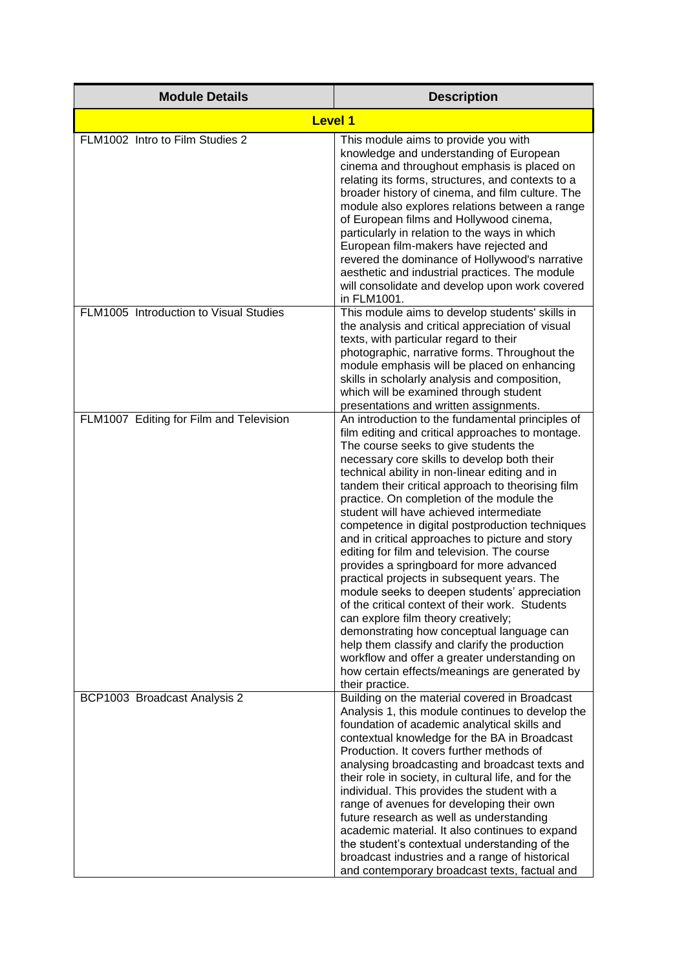| <b>Module Details</b>                   | <b>Description</b>                                                                                                                                                                                                                                                                                                                                                                                                                                                                                                                                                                                                                                                                                                                                                                                                                                                                                                                                                                                        |
|-----------------------------------------|-----------------------------------------------------------------------------------------------------------------------------------------------------------------------------------------------------------------------------------------------------------------------------------------------------------------------------------------------------------------------------------------------------------------------------------------------------------------------------------------------------------------------------------------------------------------------------------------------------------------------------------------------------------------------------------------------------------------------------------------------------------------------------------------------------------------------------------------------------------------------------------------------------------------------------------------------------------------------------------------------------------|
| <b>Level 1</b>                          |                                                                                                                                                                                                                                                                                                                                                                                                                                                                                                                                                                                                                                                                                                                                                                                                                                                                                                                                                                                                           |
| FLM1002 Intro to Film Studies 2         | This module aims to provide you with<br>knowledge and understanding of European<br>cinema and throughout emphasis is placed on<br>relating its forms, structures, and contexts to a<br>broader history of cinema, and film culture. The<br>module also explores relations between a range<br>of European films and Hollywood cinema,<br>particularly in relation to the ways in which<br>European film-makers have rejected and<br>revered the dominance of Hollywood's narrative<br>aesthetic and industrial practices. The module<br>will consolidate and develop upon work covered<br>in FLM1001.                                                                                                                                                                                                                                                                                                                                                                                                      |
| FLM1005 Introduction to Visual Studies  | This module aims to develop students' skills in<br>the analysis and critical appreciation of visual<br>texts, with particular regard to their<br>photographic, narrative forms. Throughout the<br>module emphasis will be placed on enhancing<br>skills in scholarly analysis and composition,<br>which will be examined through student<br>presentations and written assignments.                                                                                                                                                                                                                                                                                                                                                                                                                                                                                                                                                                                                                        |
| FLM1007 Editing for Film and Television | An introduction to the fundamental principles of<br>film editing and critical approaches to montage.<br>The course seeks to give students the<br>necessary core skills to develop both their<br>technical ability in non-linear editing and in<br>tandem their critical approach to theorising film<br>practice. On completion of the module the<br>student will have achieved intermediate<br>competence in digital postproduction techniques<br>and in critical approaches to picture and story<br>editing for film and television. The course<br>provides a springboard for more advanced<br>practical projects in subsequent years. The<br>module seeks to deepen students' appreciation<br>of the critical context of their work. Students<br>can explore film theory creatively;<br>demonstrating how conceptual language can<br>help them classify and clarify the production<br>workflow and offer a greater understanding on<br>how certain effects/meanings are generated by<br>their practice. |
| BCP1003 Broadcast Analysis 2            | Building on the material covered in Broadcast<br>Analysis 1, this module continues to develop the<br>foundation of academic analytical skills and<br>contextual knowledge for the BA in Broadcast<br>Production. It covers further methods of<br>analysing broadcasting and broadcast texts and<br>their role in society, in cultural life, and for the<br>individual. This provides the student with a<br>range of avenues for developing their own<br>future research as well as understanding<br>academic material. It also continues to expand<br>the student's contextual understanding of the<br>broadcast industries and a range of historical<br>and contemporary broadcast texts, factual and                                                                                                                                                                                                                                                                                                    |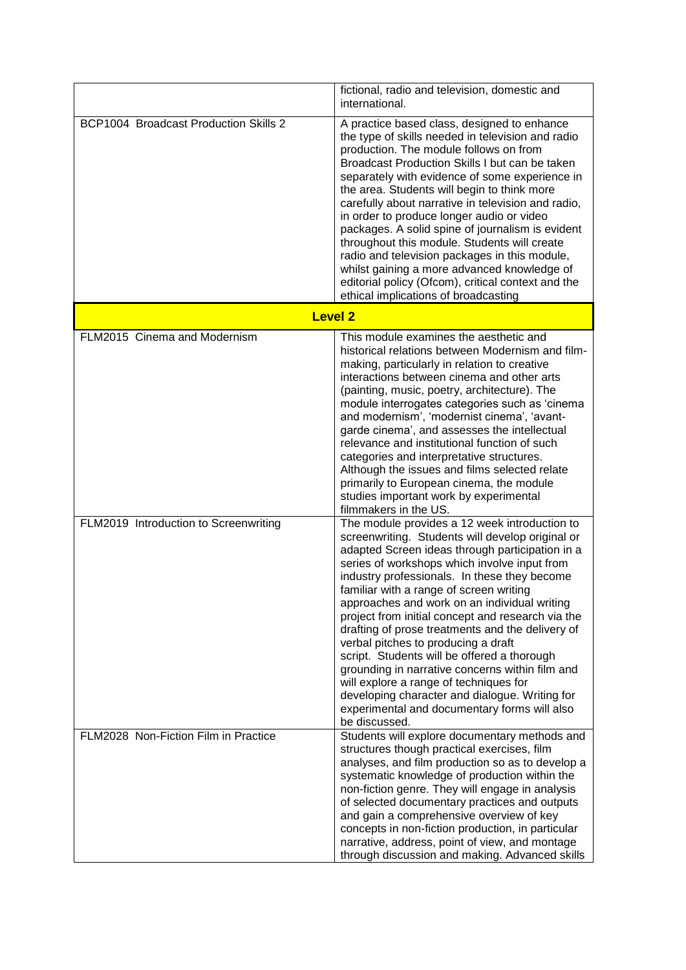|                                       | fictional, radio and television, domestic and<br>international.                                                                                                                                                                                                                                                                                                                                                                                                                                                                                                                                                                                                                                                                                                |
|---------------------------------------|----------------------------------------------------------------------------------------------------------------------------------------------------------------------------------------------------------------------------------------------------------------------------------------------------------------------------------------------------------------------------------------------------------------------------------------------------------------------------------------------------------------------------------------------------------------------------------------------------------------------------------------------------------------------------------------------------------------------------------------------------------------|
| BCP1004 Broadcast Production Skills 2 | A practice based class, designed to enhance<br>the type of skills needed in television and radio<br>production. The module follows on from<br>Broadcast Production Skills I but can be taken<br>separately with evidence of some experience in<br>the area. Students will begin to think more<br>carefully about narrative in television and radio,<br>in order to produce longer audio or video<br>packages. A solid spine of journalism is evident<br>throughout this module. Students will create<br>radio and television packages in this module,<br>whilst gaining a more advanced knowledge of<br>editorial policy (Ofcom), critical context and the<br>ethical implications of broadcasting                                                             |
|                                       | <b>Level 2</b>                                                                                                                                                                                                                                                                                                                                                                                                                                                                                                                                                                                                                                                                                                                                                 |
| FLM2015 Cinema and Modernism          | This module examines the aesthetic and<br>historical relations between Modernism and film-<br>making, particularly in relation to creative<br>interactions between cinema and other arts<br>(painting, music, poetry, architecture). The<br>module interrogates categories such as 'cinema<br>and modernism', 'modernist cinema', 'avant-<br>garde cinema', and assesses the intellectual<br>relevance and institutional function of such<br>categories and interpretative structures.<br>Although the issues and films selected relate<br>primarily to European cinema, the module<br>studies important work by experimental<br>filmmakers in the US.                                                                                                         |
| FLM2019 Introduction to Screenwriting | The module provides a 12 week introduction to<br>screenwriting. Students will develop original or<br>adapted Screen ideas through participation in a<br>series of workshops which involve input from<br>industry professionals. In these they become<br>familiar with a range of screen writing<br>approaches and work on an individual writing<br>project from initial concept and research via the<br>drafting of prose treatments and the delivery of<br>verbal pitches to producing a draft<br>script. Students will be offered a thorough<br>grounding in narrative concerns within film and<br>will explore a range of techniques for<br>developing character and dialogue. Writing for<br>experimental and documentary forms will also<br>be discussed. |
| FLM2028 Non-Fiction Film in Practice  | Students will explore documentary methods and<br>structures though practical exercises, film<br>analyses, and film production so as to develop a<br>systematic knowledge of production within the<br>non-fiction genre. They will engage in analysis<br>of selected documentary practices and outputs<br>and gain a comprehensive overview of key<br>concepts in non-fiction production, in particular<br>narrative, address, point of view, and montage<br>through discussion and making. Advanced skills                                                                                                                                                                                                                                                     |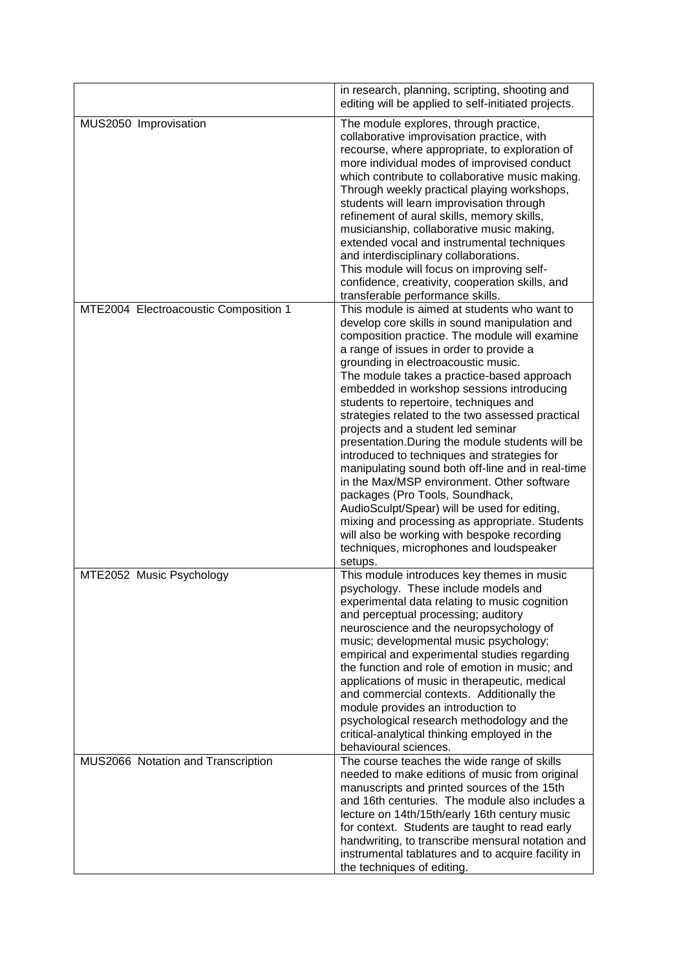|                                       | in research, planning, scripting, shooting and<br>editing will be applied to self-initiated projects.                                                                                                                                                                                                                                                                                                                                                                                                                                                                                                                                                                                                                                                                                                                                                                                                           |
|---------------------------------------|-----------------------------------------------------------------------------------------------------------------------------------------------------------------------------------------------------------------------------------------------------------------------------------------------------------------------------------------------------------------------------------------------------------------------------------------------------------------------------------------------------------------------------------------------------------------------------------------------------------------------------------------------------------------------------------------------------------------------------------------------------------------------------------------------------------------------------------------------------------------------------------------------------------------|
| MUS2050 Improvisation                 | The module explores, through practice,<br>collaborative improvisation practice, with<br>recourse, where appropriate, to exploration of<br>more individual modes of improvised conduct<br>which contribute to collaborative music making.<br>Through weekly practical playing workshops,<br>students will learn improvisation through<br>refinement of aural skills, memory skills,<br>musicianship, collaborative music making,<br>extended vocal and instrumental techniques<br>and interdisciplinary collaborations.<br>This module will focus on improving self-<br>confidence, creativity, cooperation skills, and<br>transferable performance skills.                                                                                                                                                                                                                                                      |
| MTE2004 Electroacoustic Composition 1 | This module is aimed at students who want to<br>develop core skills in sound manipulation and<br>composition practice. The module will examine<br>a range of issues in order to provide a<br>grounding in electroacoustic music.<br>The module takes a practice-based approach<br>embedded in workshop sessions introducing<br>students to repertoire, techniques and<br>strategies related to the two assessed practical<br>projects and a student led seminar<br>presentation. During the module students will be<br>introduced to techniques and strategies for<br>manipulating sound both off-line and in real-time<br>in the Max/MSP environment. Other software<br>packages (Pro Tools, Soundhack,<br>AudioSculpt/Spear) will be used for editing,<br>mixing and processing as appropriate. Students<br>will also be working with bespoke recording<br>techniques, microphones and loudspeaker<br>setups. |
| MTE2052 Music Psychology              | This module introduces key themes in music<br>psychology. These include models and<br>experimental data relating to music cognition<br>and perceptual processing; auditory<br>neuroscience and the neuropsychology of<br>music; developmental music psychology;<br>empirical and experimental studies regarding<br>the function and role of emotion in music; and<br>applications of music in therapeutic, medical<br>and commercial contexts. Additionally the<br>module provides an introduction to<br>psychological research methodology and the<br>critical-analytical thinking employed in the<br>behavioural sciences.                                                                                                                                                                                                                                                                                    |
| MUS2066 Notation and Transcription    | The course teaches the wide range of skills<br>needed to make editions of music from original<br>manuscripts and printed sources of the 15th<br>and 16th centuries. The module also includes a<br>lecture on 14th/15th/early 16th century music<br>for context. Students are taught to read early<br>handwriting, to transcribe mensural notation and<br>instrumental tablatures and to acquire facility in<br>the techniques of editing.                                                                                                                                                                                                                                                                                                                                                                                                                                                                       |